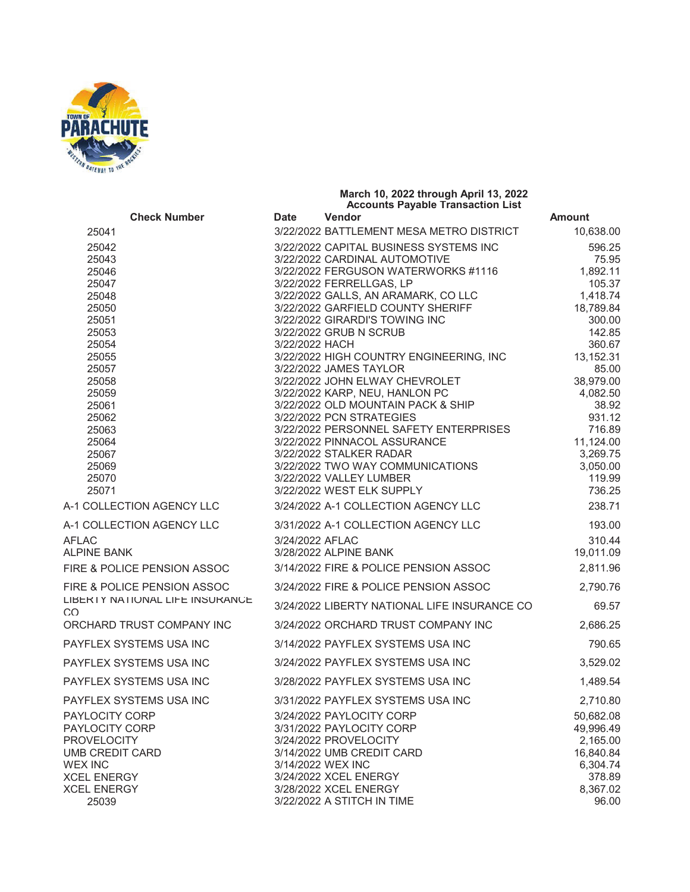

|                                        | March 10, 2022 through April 13, 2022<br><b>Accounts Payable Transaction List</b> |                                                                         |                       |
|----------------------------------------|-----------------------------------------------------------------------------------|-------------------------------------------------------------------------|-----------------------|
| <b>Check Number</b>                    | <b>Date</b>                                                                       | Vendor                                                                  | <b>Amount</b>         |
| 25041                                  |                                                                                   | 3/22/2022 BATTLEMENT MESA METRO DISTRICT                                | 10,638.00             |
| 25042<br>25043                         |                                                                                   | 3/22/2022 CAPITAL BUSINESS SYSTEMS INC<br>3/22/2022 CARDINAL AUTOMOTIVE | 596.25<br>75.95       |
| 25046                                  |                                                                                   | 3/22/2022 FERGUSON WATERWORKS #1116                                     | 1,892.11              |
| 25047                                  |                                                                                   | 3/22/2022 FERRELLGAS, LP                                                | 105.37                |
| 25048                                  |                                                                                   | 3/22/2022 GALLS, AN ARAMARK, CO LLC                                     | 1,418.74              |
| 25050<br>25051                         |                                                                                   | 3/22/2022 GARFIELD COUNTY SHERIFF<br>3/22/2022 GIRARDI'S TOWING INC     | 18,789.84<br>300.00   |
| 25053                                  |                                                                                   | 3/22/2022 GRUB N SCRUB                                                  | 142.85                |
| 25054                                  | 3/22/2022 HACH                                                                    |                                                                         | 360.67                |
| 25055                                  |                                                                                   | 3/22/2022 HIGH COUNTRY ENGINEERING, INC                                 | 13,152.31             |
| 25057                                  |                                                                                   | 3/22/2022 JAMES TAYLOR                                                  | 85.00                 |
| 25058                                  |                                                                                   | 3/22/2022 JOHN ELWAY CHEVROLET                                          | 38,979.00             |
| 25059                                  |                                                                                   | 3/22/2022 KARP, NEU, HANLON PC                                          | 4,082.50              |
| 25061<br>25062                         |                                                                                   | 3/22/2022 OLD MOUNTAIN PACK & SHIP<br>3/22/2022 PCN STRATEGIES          | 38.92<br>931.12       |
| 25063                                  |                                                                                   | 3/22/2022 PERSONNEL SAFETY ENTERPRISES                                  | 716.89                |
| 25064                                  |                                                                                   | 3/22/2022 PINNACOL ASSURANCE                                            | 11,124.00             |
| 25067                                  |                                                                                   | 3/22/2022 STALKER RADAR                                                 | 3,269.75              |
| 25069                                  |                                                                                   | 3/22/2022 TWO WAY COMMUNICATIONS                                        | 3,050.00              |
| 25070                                  |                                                                                   | 3/22/2022 VALLEY LUMBER                                                 | 119.99                |
| 25071                                  |                                                                                   | 3/22/2022 WEST ELK SUPPLY                                               | 736.25                |
| A-1 COLLECTION AGENCY LLC              |                                                                                   | 3/24/2022 A-1 COLLECTION AGENCY LLC                                     | 238.71                |
| A-1 COLLECTION AGENCY LLC              |                                                                                   | 3/31/2022 A-1 COLLECTION AGENCY LLC                                     | 193.00                |
| <b>AFLAC</b><br><b>ALPINE BANK</b>     | 3/24/2022 AFLAC                                                                   | 3/28/2022 ALPINE BANK                                                   | 310.44<br>19,011.09   |
| FIRE & POLICE PENSION ASSOC            |                                                                                   | 3/14/2022 FIRE & POLICE PENSION ASSOC                                   | 2,811.96              |
| FIRE & POLICE PENSION ASSOC            |                                                                                   | 3/24/2022 FIRE & POLICE PENSION ASSOC                                   | 2,790.76              |
| LIBERTY NATIONAL LIFE INSURANCE<br>CO. |                                                                                   | 3/24/2022 LIBERTY NATIONAL LIFE INSURANCE CO                            | 69.57                 |
| ORCHARD TRUST COMPANY INC              |                                                                                   | 3/24/2022 ORCHARD TRUST COMPANY INC                                     | 2,686.25              |
| PAYFLEX SYSTEMS USA INC                |                                                                                   | 3/14/2022 PAYFLEX SYSTEMS USA INC                                       | 790.65                |
| PAYFLEX SYSTEMS USA INC                |                                                                                   | 3/24/2022 PAYFLEX SYSTEMS USA INC                                       | 3,529.02              |
| PAYFLEX SYSTEMS USA INC                |                                                                                   | 3/28/2022 PAYFLEX SYSTEMS USA INC                                       | 1,489.54              |
| PAYFLEX SYSTEMS USA INC                |                                                                                   | 3/31/2022 PAYFLEX SYSTEMS USA INC                                       | 2,710.80              |
| PAYLOCITY CORP                         |                                                                                   | 3/24/2022 PAYLOCITY CORP                                                | 50,682.08             |
| PAYLOCITY CORP                         |                                                                                   | 3/31/2022 PAYLOCITY CORP                                                | 49,996.49             |
| PROVELOCITY<br>UMB CREDIT CARD         |                                                                                   | 3/24/2022 PROVELOCITY<br>3/14/2022 UMB CREDIT CARD                      | 2,165.00<br>16,840.84 |
| WEX INC                                |                                                                                   | 3/14/2022 WEX INC                                                       | 6,304.74              |
| XCEL ENERGY                            |                                                                                   | 3/24/2022 XCEL ENERGY                                                   | 378.89                |
| XCEL ENERGY                            |                                                                                   | 3/28/2022 XCEL ENERGY                                                   | 8,367.02              |
| 25039                                  |                                                                                   | 3/22/2022 A STITCH IN TIME                                              | 96.00                 |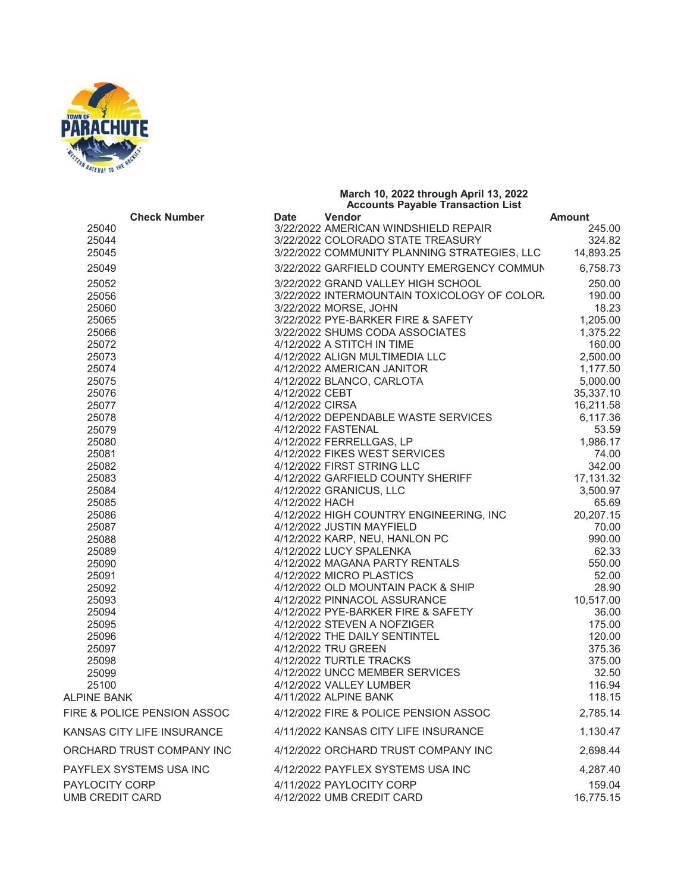

## **Check Number Date Vendor Amount**  3/22/2022 AMERICAN WINDSHIELD REPAIR 245.00 3/22/2022 COLORADO STATE TREASURY 324.82 3/22/2022 COMMUNITY PLANNING STRATEGIES, LLC 14,893.25 3/22/2022 GARFIELD COUNTY EMERGENCY COMMUN 6,758.73 3/22/2022 GRAND VALLEY HIGH SCHOOL 250.00 3/22/2022 INTERMOUNTAIN TOXICOLOGY OF COLORA 190.00 3/22/2022 MORSE, JOHN 18.23 3/22/2022 PYE-BARKER FIRE & SAFETY 1,205.00 3/22/2022 SHUMS CODA ASSOCIATES 1,375.22 25072 160.00 4/12/2022 ALIGN MULTIMEDIA LLC 2,500.00 4/12/2022 AMERICAN JANITOR 1,177.50 4/12/2022 BLANCO, CARLOTA 5,000.00 4/12/2022 CEBT 35,337.10 4/12/2022 CIRSA 16,211.58 4/12/2022 DEPENDABLE WASTE SERVICES 6,117.36 4/12/2022 FASTENAL 53.59 4/12/2022 FERRELLGAS, LP 1,986.17 4/12/2022 FIKES WEST SERVICES 74.00 4/12/2022 FIRST STRING LLC 342.00 4/12/2022 GARFIELD COUNTY SHERIFF 17,131.32 4/12/2022 GRANICUS, LLC 3,500.97 4/12/2022 HACH 65.69 25086 25086 4/12/2022 HIGH COUNTRY ENGINEERING, INC 4/12/2022 JUSTIN MAYFIELD 70.00 4/12/2022 KARP, NEU, HANLON PC 990.00 4/12/2022 LUCY SPALENKA 62.33 4/12/2022 MAGANA PARTY RENTALS 550.00 4/12/2022 MICRO PLASTICS 52.00 4/12/2022 OLD MOUNTAIN PACK & SHIP 28.90 25093 4/12/2022 PINNACOL ASSURANCE 10,517.00 4/12/2022 PYE-BARKER FIRE & SAFETY 36.00 4/12/2022 STEVEN A NOFZIGER 175.00 4/12/2022 THE DAILY SENTINTEL 120.00 4/12/2022 TRU GREEN 375.36 4/12/2022 TURTLE TRACKS 375.00 4/12/2022 UNCC MEMBER SERVICES 32.50 4/12/2022 VALLEY LUMBER 116.94 ALPINE BANK 118.15 FIRE & POLICE PENSION ASSOC 4/12/2022 FIRE & POLICE PENSION ASSOC 2,785.14 KANSAS CITY LIFE INSURANCE 4/11/2022 KANSAS CITY LIFE INSURANCE 1,130.47 ORCHARD TRUST COMPANY INC 4/12/2022 ORCHARD TRUST COMPANY INC 2,698.44 PAYFLEX SYSTEMS USA INC 4/12/2022 PAYFLEX SYSTEMS USA INC 4,287.40 PAYLOCITY CORP 4/11/2022 PAYLOCITY CORP 159.04

UMB CREDIT CARD 16.775.15

**March 10, 2022 through April 13, 2022 Accounts Payable Transaction List**